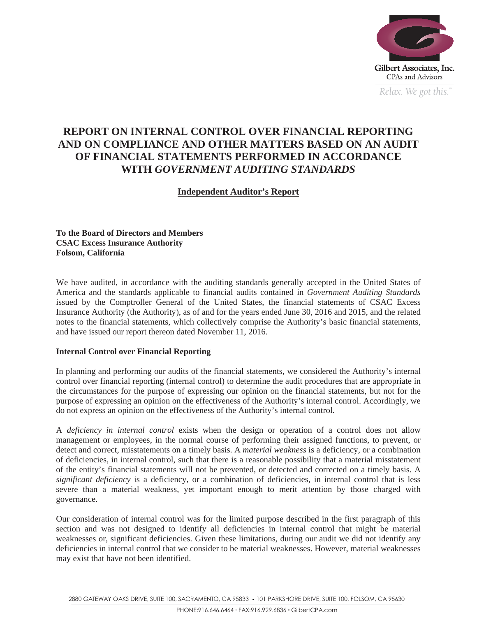

*Relax.* We got this.<sup>"</sup>

# **REPORT ON INTERNAL CONTROL OVER FINANCIAL REPORTING AND ON COMPLIANCE AND OTHER MATTERS BASED ON AN AUDIT OF FINANCIAL STATEMENTS PERFORMED IN ACCORDANCE WITH** *GOVERNMENT AUDITING STANDARDS*

# **Independent Auditor's Report**

**To the Board of Directors and Members CSAC Excess Insurance Authority Folsom, California** 

We have audited, in accordance with the auditing standards generally accepted in the United States of America and the standards applicable to financial audits contained in *Government Auditing Standards* issued by the Comptroller General of the United States, the financial statements of CSAC Excess Insurance Authority (the Authority), as of and for the years ended June 30, 2016 and 2015, and the related notes to the financial statements, which collectively comprise the Authority's basic financial statements, and have issued our report thereon dated November 11, 2016.

## **Internal Control over Financial Reporting**

In planning and performing our audits of the financial statements, we considered the Authority's internal control over financial reporting (internal control) to determine the audit procedures that are appropriate in the circumstances for the purpose of expressing our opinion on the financial statements, but not for the purpose of expressing an opinion on the effectiveness of the Authority's internal control. Accordingly, we do not express an opinion on the effectiveness of the Authority's internal control.

A *deficiency in internal control* exists when the design or operation of a control does not allow management or employees, in the normal course of performing their assigned functions, to prevent, or detect and correct, misstatements on a timely basis. A *material weakness* is a deficiency, or a combination of deficiencies, in internal control, such that there is a reasonable possibility that a material misstatement of the entity's financial statements will not be prevented, or detected and corrected on a timely basis. A *significant deficiency* is a deficiency, or a combination of deficiencies, in internal control that is less severe than a material weakness, yet important enough to merit attention by those charged with governance.

Our consideration of internal control was for the limited purpose described in the first paragraph of this section and was not designed to identify all deficiencies in internal control that might be material weaknesses or, significant deficiencies. Given these limitations, during our audit we did not identify any deficiencies in internal control that we consider to be material weaknesses. However, material weaknesses may exist that have not been identified.

2880 GATEWAY OAKS DRIVE, SUITE 100, SACRAMENTO, CA 95833 · 101 PARKSHORE DRIVE, SUITE 100, FOLSOM, CA 95630